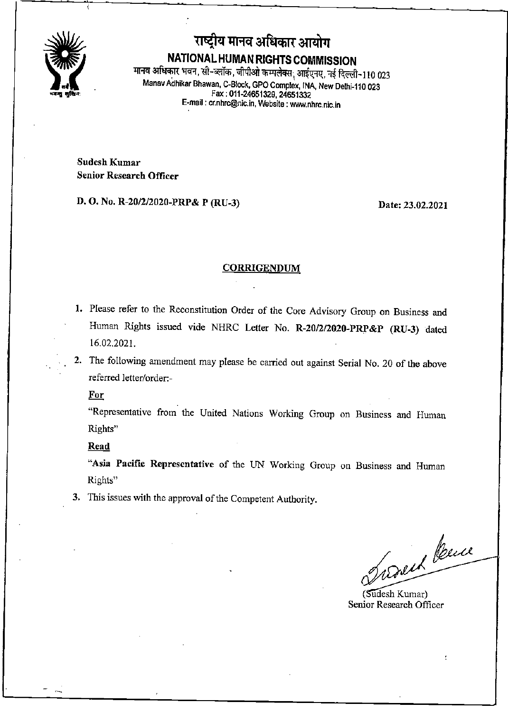

राष्ट्रीय मानव अधिकार आयोग NATIONAL HUMAN RIGHTS COMMISSION मानव अधिकार भवन, सी-ब्लॉक, जीपीओ कम्पलेक्स, आईएनए, नई दिल्ली-110 023 ManavAdhikar Bhawan, C-Block, GPO Complex, INA, New Delhi-110 023 Fax: 011-24651329.24651332 E-mail: cr.nhrc@nic.in. Website: www.nhrc.nic.in

Sudcsh Kumar Senior Research Officer

D. O. No. R-20/2/2020-PRP& P (RU-3) Date: 23.02.2021

#### **CORRIGENDUM**

- 1. Please refer to the Reconstitution Order of the Core Advisory Group on Business and Human Rights issued vide NHRC Letter No. R-20/2/2020-PRP&P (RU-3) dated 16.02.2021.
- 2. The following amendment may please be carried out against Serial No. 20 of the above referred letter/order:-

For

Representative from the United Nations Working Group on Business and Human Rights"

Read

"Asia Pacific Representative of the UN Working Group on Business and Human Rights"

3. This issues with the approval of the Competent Authority.

Suduk Peuce

Senior Research Officer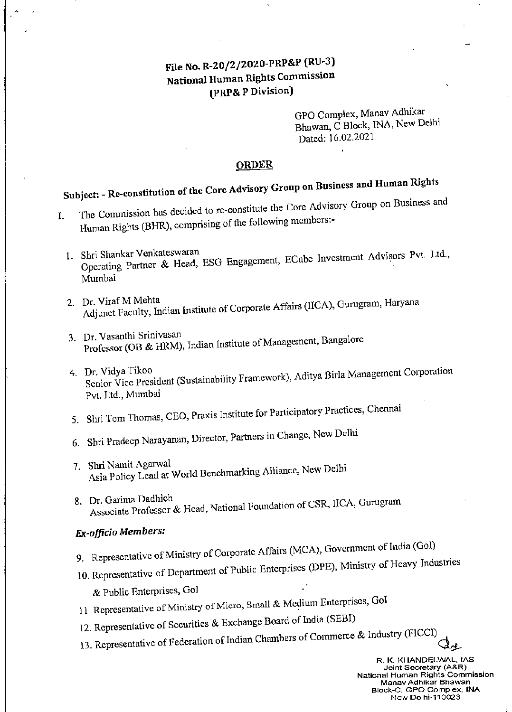# File No. R-20/2/2020-PRP&P (RU-3) National Human Rights Commission (PRP& PDivision)

GPO Complex, Manav Adhikar Bhawan, CBlock, INA, New Delhi Dated: 16.02.2021

### ORDER

- Subject: Re-constitution of the Core Advisory Group on Business and Human Rights<br>I. The Commission has decided to re-constitute the Core Advisory Group on Business and Human Rights (BHR), comprising of the following members:-
	- 1. Shri Shankar Venkateswaran<br>
	Operating Partner & Head, ESG Engagement, ECube Investment Advisors Pvt. Ltd., Mumbai
	- 2. Dr. Viraf M Mehta<br>Adjunct Faculty, Indian Institute of Corporate Affairs (IICA), Gurugram, Haryana
	- 3. Dr. Vasanthi Srinivasan<br>Professor (OB & HRM), Indian Institute of Management, Bangalore
	- 4. Dr. Vidya Tikoo<br>Senior Vice President (Sustainability Framework), Aditya Birla Management Corporation Pvt. Ltd., Mumbai
	- 5. Shri Tom Thomas, CEO, Praxis Institute for Participatory Practices, Chemiai
	- 6. Shri Pradecp Narayanan, Director, Partners in Change, New Delhi
	- 7. Shri Namit Agarwal<br>Asia Policy Lead at World Benchmarking Alliance, New Delhi
	- 8. Dr. Garima Dadhich<br>Associate Professor & Head, National Foundation of CSR, IICA, Gurugram

## Ex-officio Members:

- 9. Representative of Ministry of Corporate Affairs (MCA), Government of India (Gol)
- 10. Representative of Department of Public Enterprises (DPE), Ministry of Heavy Industries
	- & PublicEnterprises, Gol
- 11. Representative of Ministry of Micro, Small & Medium Enterprises, Gol
- 12. Representative of Securities & Exchange Board of India (SEBI)
- 13. Representative of Federation of Indian Chambers of Commerce & Industry (FICCI)

R. K, KHANDELWAL. IAS Joint Secretary (A&R) National Human Rights Commission Manav Adhikar Bhawan Block-C, GPO Complex, INA New Delhi-110023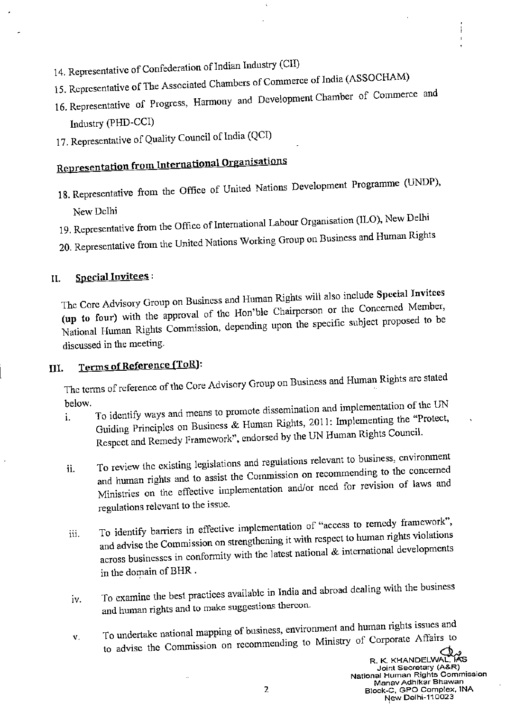- 14. Representative of Confederation of Indian Industry (CII)
- 15. Representative of The Associated Chambers of Commerce of India (ASSOCHAM)
- 16. Representative of Progress, Harmony and Development Chamber of Commerce and Industry (PHD-CCI)
- 17. Representative of Quality Council of India (QCI)

# Representation from International Organisations

- 18. Representative from the Office of United Nations Development Programme (UNDP), New Delhi
- 19. Representative from the Office of International Labour Organisation (ILO), New Delhi
- 20. Representative from the United Nations Working Group on Business and Human Rights

#### **Special Invitees:** II.

The Core Advisory Group on Business and Human Rights will also include Special Invitees (up to four) with the approval of the Hon'ble Chairperson or the Concerned Member, National Human Rights Commission, depending upon the specific subject proposed to be discussed in the meeting.

#### Terms of Reference (ToR): III.

The terms of reference of the Core Advisory Group on Business and Human Rights are stated below.

- To identify ways and means to promote dissemination and implementation of the UN Guiding Principles on Business & Human Rights, 2011: Implementing the "Protect,  $\mathbf{i}$ . Respect and Remedy Framework", endorsed by the UN Human Rights Council.
- To review the existing legislations and regulations relevant to business, environment and human rights and to assist the Commission on recommending to the concerned ii. Ministries on the effective implementation and/or need for revision of laws and regulations relevant to the issue.
- To identify barriers in effective implementation of "access to remedy framework", and advise the Commission on strengthening it with respect to human rights violations iii. across businesses in conformity with the latest national & international developments in the domain of BHR.
- To examine the best practices available in India and abroad dealing with the business iv. and human rights and to make suggestions thercon.
- To undertake national mapping of business, environment and human rights issues and to advise the Commission on recommending to Ministry of Corporate Affairs to V.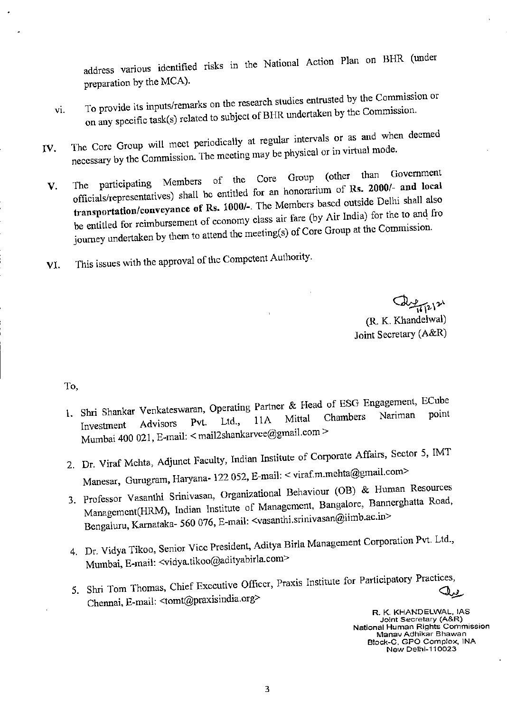address various identified risks in the National Action Plan on BHR (under

- preparation by the MCA).<br>To provide its inputs/remarks on the research studies entrusted by the Commission or To provide its inputs/remarks on the research states contribution<br>on any specific task(s) related to subject of BHR undertaken by the Commission. VI.
- The Core Group will meet periodically at regular intervals or as and when decmed The Core Group will meet periodically at regular three periodic in virtual mode.<br>necessary by the Commission. The meeting may be physical or in virtual mode. IV.
	- The participating Members of the Core Group (other than Government officials/representatives) shall be entitled for an honorarium of Rs. 2000/- and local transportation/conveyance of Rs. 1000/-. The M officials/representatives) shall be entitled for an nonoration of xist asset that<br>transportation/conveyance of Rs. 1000/-. The Members based outside Delhi shall al<br>be entitled for reimbursement of economy class air fare (b V.
- This issues with the approval of the Competent Authority. VI.

 $271212$ (R. K. Khandelwal)

Joint Secretary (A&R)

To,

- 1. Shri Shankar Venkateswaran, Operating Partner & Head of ESG Engagement, ECube<br>Investment Advisors Pvt. Ltd., 11A Mittal Chambers Nariman point Investment Advisors Pvt. Ltd.,  $11A$  Mitta Mumbai 400 021, E-mail: < mail2shankarvee@gmail.com
- 2. Dr. Viraf Mchta, Adjunct Faculty, Indian Institute of Corporate Affairs, Sector 5, IMT Manesar, Gurugram, Haryana- 122 052, E-mail: < viraf.m.mehta@gmail.com>
- 3. Professor Vasanthi Srinivasan, Organizational Behaviour (OB) & Human Resources Management(HRM), Indian Institute of Management, Bangalore, Bannerghatta Road, Bengaluru, Karnataka- 560 076, E-mail: <vasanthi.srinivasan@iimb.ac.in>
- 4. Dr. Vidya Tikoo, Senior Vicc President, Aditya Birla Management Corporation Pvt. Ltd., Mumbai, E-mail; <vidya.tikoo@adityabirla.com>
- 5. Shri Tom Thomas, Chief Executive Officer, Praxis Institute for Participatory Practi^ Chennai, E-mail: <tomt@praxisindia.org>

R. K- KHANDELWAL, IAS Joint Secretary (A&R) National Human Rights Commission Manav Adhikar Bhawan B!ock-C, GPO Complex, INA New Delhi-110023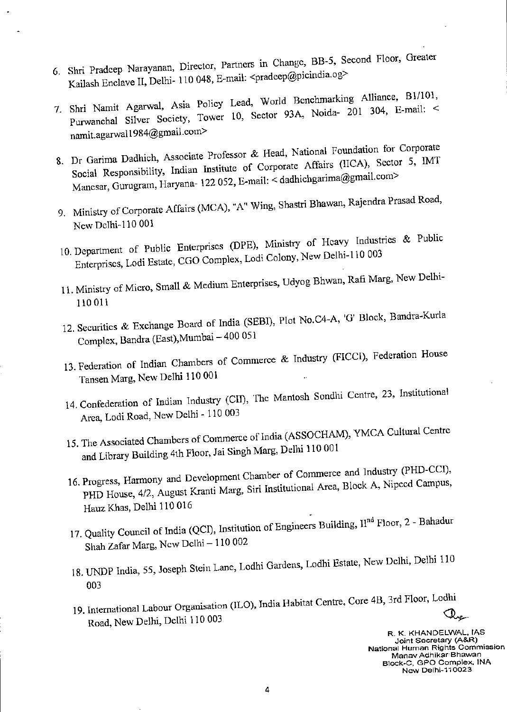- 6 Shri Pradcep Narayanan, Director, Partners in Change, BB-5, Second Floor. Greater Kailash Enclave II, Delhi- 110 048, E-mail: <pradeep@picindia.og>
- 7. Shri Namit Agarwal, Asia Policy Lead, World Benchmarking Alliance, B1/101, Purwanchal Silver Society, Tower 10, Sector 93A, Noida- 201 304, E-mail: <<br>namit.agarwal1984@gmail.com>
- 8. Dr Garima Dadhich, Associate Professor & Head, National Foundation for Corporate Social Responsibility, Indian Institute of Corporate Affairs (IICA), Sector 5, IMT Manesar, Gurugram, Haryana- 122 052, E-mail: < dadhichgarima@gmail.com>
- 9. Ministry of Corporate Affairs (MCA), "A" Wing, Shastri Bhawan, Rajendra Prasad Road, New Delhi-110 001
- 10. Department of Public Enterprises (DPE), Ministry of Heavy Industries & Public Enterprises, Lodi Estate, CGO Complex, Lodi Colony, New Delhi-110 003
- 11. Ministry of Micro, Small & Medium Enterprises, Udyog Bhwan, Rafi Marg, New Delhi-110011
- 12. Securities & Exchange Board of India (SEBI), Plot No.C4-A, 'G' Block, Bandra-Kurla Complex, Bandra (East), Mumbai - 400 051
- 13. Federation of Indian Chambers of Commerce & Industry (FICCI), Federation House Tansen Marg, New Delhi 110 001
- 14, Confederation of Indian Industry (CII), The Mantosh Sondhi Centre. 23, Institutional Area, Lodi Road, New Delhi - 110 003
- 15. The Associated Chambers of Commerce of India (ASSOCHAM), YMCA Cultural Centre
- and Library Building 4th Floor, Jai Singh Marg, Delhi 110 001<br>16. Progress, Harmony and Development Chamber of Commerce and Industry (PHD-CCI), Progress, Harmony and Development Chamber of Commercy and Arca, Block A, Nipccd Campus, PHD House, 4/2, August Kranti Marg, Siri Institutional Arca, Block A, Nipccd Campus, Hauz Khas, Delhi 110 016
- 17. Quality Council of India (QCI), Institution of Engineers Building,  $H<sup>nd</sup>$  Floor, 2 Bahadur Shah Zafar Marg, New Delhi - 110 002
- 18. UNDP India, 55, Joseph Stein Lane, Lodhi Gardens, Lodhi Estate, New Delhi, Delhi 110 003
- 19. International Labour Organisation (ILO), India Habitat Centre, Core 4B, 3rd Floor, Lodhi<br>- المحمد Road, New Delhi, Delhi 110 003

R. K. KHANDELWAL, IAS Joint Secretary (A&R) National Human Rights Commission Manav Adhlkar Bhawan Block-C, GPO Complex. INA New Delhi-110023